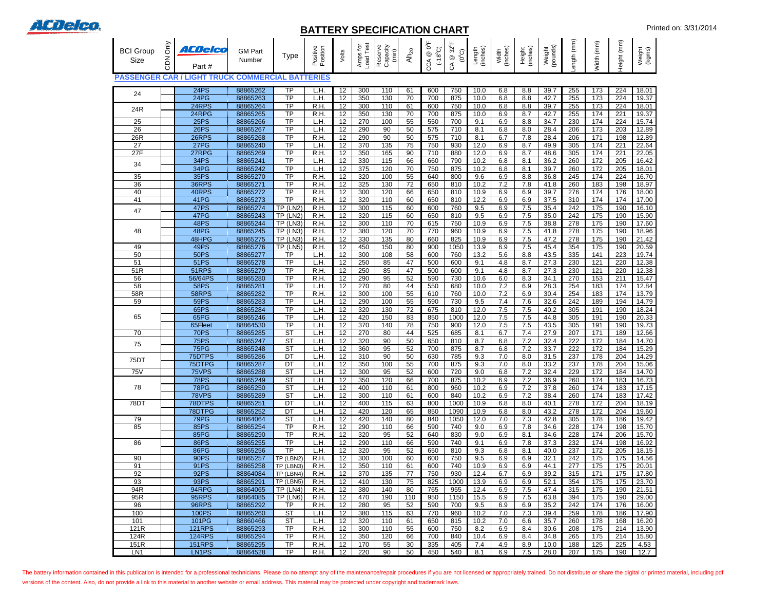

## **BATTERY SPECIFICATION CHART** Printed on: 3/31/2014

| <b>BCI Group</b><br>Size | Only<br><b>NO2</b> | ACDelco<br>Part#                        | <b>GM Part</b><br>Number | <b>Type</b>                         | Position<br>Positive | Volts                                  | Load Test<br>Amps for | Reserve<br>Capacity<br>(min) | Ah <sub>20</sub>      | ₹°<br>$(18^{\circ}C)$<br>$^{\circledR}$<br>CCA | $CA \otimes 32^{\circ}F$<br>$(0^{\circ}O)$ | (inches)<br>Length | (inches)<br>Width | (inches)<br>Height | (pounds)<br>Weight | ength (mm)              | Width (mm)       | eight (mm) | Weight<br>(kgms) |
|--------------------------|--------------------|-----------------------------------------|--------------------------|-------------------------------------|----------------------|----------------------------------------|-----------------------|------------------------------|-----------------------|------------------------------------------------|--------------------------------------------|--------------------|-------------------|--------------------|--------------------|-------------------------|------------------|------------|------------------|
| <b>PASSENGER CAR /</b>   |                    | <b>LIGHT TRUCK COMMERCIAL BATTERIES</b> |                          |                                     |                      |                                        |                       |                              |                       |                                                |                                            |                    |                   |                    |                    |                         |                  |            |                  |
| 24                       |                    | 24PS                                    | 88865262                 | $\overline{TP}$                     | L.H                  | 12                                     | 300                   | 110                          | 61                    | 600                                            | 750                                        | 10.0               | 6.8               | 8.8                | 39.7               | 255                     | 173              | 224        | 18.01            |
|                          |                    | 24PG<br>24RPS                           | 88865263                 | <b>TP</b><br>$\overline{TP}$        | L.H                  | 12                                     | 350                   | 130                          | 70                    | 700                                            | 875                                        | 10.0               | 6.8               | 8.8                | 42.7               | 255                     | 173              | 224        | 19.37            |
| 24R                      |                    | 24RPG                                   | 88865264<br>88865265     | $\overline{TP}$                     | R.H.<br>R.H          | 12<br>12                               | 300<br>350            | 110<br>130                   | 61<br>70              | 600<br>700                                     | 750<br>875                                 | 10.0<br>10.0       | 6.8<br>6.9        | 8.8<br>8.7         | 39.7<br>42.7       | 255<br>255              | 173<br>174       | 224<br>221 | 18.01<br>19.37   |
| 25                       |                    | <b>25PS</b>                             | 88865266                 | <b>TP</b>                           | L.H                  | 12                                     | 270                   | 100                          | 55                    | 550                                            | 700                                        | 9.1                | 6.9               | 8.8                | 34.7               | 230                     | 174              | 224        | 15.74            |
| $\overline{26}$          |                    | 26PS                                    | 88865267                 | $\overline{TP}$                     | L.H                  | 12                                     | 290                   | 90                           | 50                    | 575                                            | $\overline{710}$                           | 8.1                | 6.8               | 8.0                | 28.4               | 206                     | $\overline{173}$ | 203        | 12.89            |
| 26R<br>$\overline{27}$   |                    | 26RPS<br>27PG                           | 88865268<br>88865240     | <b>TP</b><br>$\overline{TP}$        | R.H.<br>L.H.         | 12<br>12                               | 290<br>370            | 90<br>135                    | 50<br>75              | 575<br>750                                     | 710<br>930                                 | 8.1<br>12.0        | 6.7<br>6.9        | 7.8<br>8.7         | 28.4<br>49.9       | 206<br>305              | 171<br>174       | 198<br>221 | 12.89<br>22.64   |
| 27F                      |                    | 27RPG                                   | 88865269                 | <b>TP</b>                           | R.H                  | 12                                     | 350                   | 165                          | 90                    | 710                                            | 880                                        | 12.0               | 6.9               | 8.7                | 48.6               | 305                     | 174              | 221        | 22.05            |
| 34                       |                    | 34PS                                    | 88865241                 | <b>TP</b>                           | L.H                  | 12                                     | 330                   | 115                          | 66                    | 660                                            | 790                                        | 10.2               | 6.8               | 8.1                | 36.2               | 260                     | 172              | 205        | 16.42            |
|                          |                    | 34PG                                    | 88865242                 | $\overline{TP}$                     | L.H                  | 12                                     | 375                   | 120                          | 70                    | 750                                            | 875                                        | 10.2               | 6.8               | 8.1                | 39.7               | 260                     | 172              | 205        | 18.01            |
| 35<br>36                 |                    | 35PS<br>36RPS                           | 88865270<br>88865271     | <b>TP</b><br>$\overline{TP}$        | R.H<br>R.H           | 12<br>12                               | 320<br>325            | 100<br>130                   | 55<br>$\overline{72}$ | 640<br>650                                     | 800<br>810                                 | 9.6<br>10.2        | 6.9<br>7.2        | 8.8<br>7.8         | 36.8<br>41.8       | 245<br>260              | 174<br>183       | 224<br>198 | 16.70<br>18.97   |
| 40                       |                    | 40RPS                                   | 88865272                 | $\overline{TP}$                     | R.H                  | 12                                     | 300                   | 120                          | 66                    | 650                                            | 810                                        | 10.9               | 6.9               | 6.9                | 39.7               | 276                     | 174              | 176        | 18.00            |
| 41                       |                    | 41PG                                    | 88865273                 | <b>TP</b>                           | R.H                  | 12                                     | 320                   | 110                          | 60                    | 650                                            | 810                                        | 12.2               | 6.9               | 6.9                | 37.5               | 310                     | 174              | 174        | 17.00            |
| 47                       |                    | <b>47PS</b><br>47PG                     | 88865274<br>88865243     | $TP$ (LN2)<br>$TP$ (LN2)            | R.H.<br>R.H.         | $\overline{12}$<br>12                  | 300<br>320            | 115<br>115                   | 60<br>60              | 600<br>650                                     | 760<br>810                                 | 9.5<br>9.5         | 6.9<br>6.9        | 7.5<br>7.5         | 35.4<br>35.0       | $\overline{242}$<br>242 | 175<br>175       | 190<br>190 | 16.10<br>15.90   |
|                          |                    | <b>48PS</b>                             | 88865244                 | TP (LN3)                            | R.H.                 | 12                                     | 300                   | 110                          | 70                    | 615                                            | 750                                        | 10.9               | 6.9               | 7.5                | 38.8               | 278                     | 175              | 190        | 17.60            |
| 48                       |                    | 48PG                                    | 88865245                 | $TP$ (LN3)                          | R.H.                 | 12                                     | 380                   | 120                          | 70                    | 770                                            | 960                                        | 10.9               | 6.9               | 7.5                | 41.8               | 278                     | 175              | 190        | 18.96            |
|                          |                    | 48HPG                                   | 88865275                 | TP (LN3)                            | R.H.                 | 12                                     | 330                   | 135                          | 80                    | 660                                            | 825                                        | 10.9               | 6.9               | 7.5                | 47.2               | 278                     | 175              | 190        | 21.42            |
| 49<br>50                 |                    | 49PS<br><b>50PS</b>                     | 88865276<br>88865277     | $TP$ (LN5)<br><b>TP</b>             | R.H.<br>L.H.         | 12<br>12                               | 450<br>300            | 150<br>108                   | 80<br>58              | 900<br>600                                     | 1050<br>760                                | 13.9<br>13.2       | 6.9<br>5.6        | 7.5<br>8.8         | 45.4<br>43.5       | 354<br>335              | 175<br>141       | 190<br>223 | 20.59<br>19.74   |
| 51                       |                    | 51PS                                    | 88865278                 | $\overline{TP}$                     | L.H                  | 12                                     | 250                   | 85                           | 47                    | 500                                            | 600                                        | 9.1                | 4.8               | 8.7                | 27.3               | 230                     | 121              | 220        | 12.38            |
| 51R                      |                    | 51RPS                                   | 88865279                 | <b>TP</b>                           | R.H                  | 12                                     | 250                   | 85                           | 47                    | 500                                            | 600                                        | 9.1                | 4.8               | 8.7                | 27.3               | 230                     | 121              | 220        | 12.38            |
| $\overline{56}$          |                    | 56/64PS                                 | 88865280                 | <b>TP</b>                           | R.H                  | 12                                     | 290                   | 95                           | 52                    | 590                                            | 730                                        | 10.6               | 6.0               | 8.3                | 34.1               | 270                     | 153              | 211        | 15.47            |
| 58<br>58R                |                    | <b>58PS</b><br>58RPS                    | 88865281<br>88865282     | <b>TP</b><br>$\overline{TP}$        | L.H<br>R.H.          | 12<br>12                               | 270<br>300            | 80<br>100                    | 44<br>55              | 550<br>610                                     | 680<br>760                                 | 10.0<br>10.0       | 7.2<br>7.2        | 6.9<br>6.9         | 28.3<br>30.4       | 254<br>254              | 183<br>183       | 174<br>174 | 12.84<br>13.79   |
| 59                       |                    | 59PS                                    | 88865283                 | <b>TP</b>                           | L.H                  | 12                                     | 290                   | 100                          | 55                    | 590                                            | 730                                        | 9.5                | 7.4               | 7.6                | 32.6               | 242                     | 189              | 194        | 14.79            |
|                          |                    | 65PS                                    | 88865284                 | <b>TP</b>                           | L.H                  | 12                                     | 320                   | 130                          | $\overline{72}$       | 675                                            | 810                                        | 12.0               | 7.5               | 7.5                | 40.2               | 305                     | 191              | 190        | 18.24            |
| 65                       |                    | 65PG                                    | 88865246                 | $\overline{\text{TP}}$              | L.H                  | $\overline{12}$                        | 420                   | 150                          | 83                    | 850                                            | 1000                                       | 12.0               | 7.5               | 7.5                | 44.8               | 305                     | 191              | 190        | 20.33            |
| 70                       |                    | 65Fleet<br><b>70PS</b>                  | 88864530<br>88865285     | <b>TP</b><br>$\overline{\text{ST}}$ | L.H<br>L.H           | 12<br>12                               | 370<br>270            | 140<br>80                    | 78<br>44              | 750<br>525                                     | 900<br>685                                 | 12.0<br>8.1        | 7.5<br>6.7        | 7.5<br>7.4         | 43.5<br>27.9       | 305<br>207              | 191<br>171       | 190<br>189 | 19.73<br>12.66   |
|                          |                    | 75PS                                    | 88865247                 | $\overline{\text{ST}}$              | L.H                  | 12                                     | 320                   | 90                           | 50                    | 650                                            | 810                                        | 8.7                | 6.8               | 7.2                | 32.4               | 222                     | 172              | 184        | 14.70            |
| 75                       |                    | 75PG                                    | 88865248                 | $\overline{\text{ST}}$              | H.                   | 12                                     | 360                   | 95                           | 52                    | 700                                            | 875                                        | 8.7                | 6.8               | 7.2                | 33.7               | 222                     | 172              | 184        | 15.29            |
| 75DT                     |                    | 75DTPS                                  | 88865286                 | DT                                  | L.H.                 | 12                                     | 310                   | 90                           | 50                    | 630                                            | 785                                        | 9.3                | 7.0               | 8.0                | 31.5               | 237                     | 178              | 204        | 14.29            |
| <b>75V</b>               |                    | 75DTPG<br>75VPS                         | 88865287<br>88865288     | DТ<br>ST                            | L.H.<br>L.H.         | 12<br>12                               | 350<br>300            | 100<br>95                    | 55<br>52              | 700<br>600                                     | 875<br>720                                 | 9.3<br>9.0         | 7.0<br>6.8        | 8.0<br>7.2         | 33.2<br>32.4       | 237<br>229              | 178<br>172       | 204<br>184 | 15.06<br>14.70   |
|                          |                    | <b>78PS</b>                             | 88865249                 | $\overline{\text{ST}}$              | L.H.                 | 12                                     | 350                   | 120                          | 66                    | 700                                            | 875                                        | 10.2               | 6.9               | 7.2                | 36.9               | 260                     | 174              | 183        | 16.73            |
| 78                       |                    | <b>78PG</b>                             | 88865250                 | <b>ST</b>                           | L.H.                 | 12                                     | 400                   | 110                          | 61                    | 800                                            | 960                                        | 10.2               | 6.9               | 7.2                | 37.8               | 260                     | 174              | 183        | 17.15            |
| 78DT                     |                    | 78VPS<br>78DTPS                         | 88865289<br>88865251     | $\overline{\text{ST}}$<br>DT        | L.H.<br>L.H.         | 12<br>12                               | 300<br>400            | 110                          | 61<br>63              | 600                                            | 840<br>1000                                | 10.2<br>10.9       | 6.9               | 7.2                | 38.4               | 260<br>278              | 174<br>172       | 183        | 17.42<br>18.19   |
|                          |                    | 78DTPG                                  | 88865252                 | DT                                  | L.H.                 | 12                                     | 420                   | 115<br>120                   | 65                    | 800<br>850                                     | 1090                                       | 10.9               | 6.8<br>6.8        | 8.0<br>8.0         | 40.1<br>43.2       | 278                     | 172              | 204<br>204 | 19.60            |
| 79                       |                    | 79PG                                    | 88864064                 | $\overline{\text{ST}}$              | L.H.                 | 12                                     | 420                   | 140                          | 80                    | 840                                            | 1050                                       | 12.0               | 7.0               | 7.3                | 42.8               | 305                     | 178              | 186        | 19.42            |
| 85                       |                    | <b>85PS</b>                             | 88865254                 | <b>TP</b>                           | R.H.                 | 12                                     | 290                   | 110                          | 66                    | 590                                            | 740                                        | 9.0                | 6.9               | 7.8                | 34.6               | 228                     | 174              | 198        | 15.70            |
| 86                       |                    | 85PG<br><b>86PS</b>                     | 88865290<br>88865255     | <b>TP</b><br><b>TP</b>              | R.H.<br>L.H.         | $12 \overline{ }$<br>12                | 320<br>290            | 95<br>110                    | 52<br>66              | 640<br>590                                     | 830<br>740                                 | 9.0<br>9.1         | 6.9<br>6.9        | 8.1<br>7.8         | 34.6<br>37.3       | 228<br>232              | 174<br>174       | 206<br>198 | 15.70<br>16.92   |
|                          |                    | <b>86PG</b>                             | 88865256                 | <b>TP</b>                           | L.H.                 | 12                                     | 320                   | 95                           | 52                    | 650                                            | 810                                        | 9.3                | 6.8               | 8.1                | 40.0               | 237                     | 172              | 205        | 18.15            |
| 90                       |                    | 90PS                                    | 88865257                 | $TP$ (LBN2)                         | R.H.                 | 12                                     | 300                   | 100                          | 60                    | 600                                            | 750                                        | 9.5                | 6.9               | 6.9                | 32.1               | 242                     | 175              | 175        | 14.56            |
| 91                       |                    | 91PS                                    | 88865258                 | TP (LBN3)                           | R.H.                 | 12                                     | 350                   | 110                          | 61                    | 600                                            | 740                                        | 10.9               | 6.9               | 6.9                | 44.1               | 277                     | 175              | 175        | 20.01            |
| 92<br>93                 |                    | 92PS<br>93PS                            | 88864084<br>88865291     | TP (LBN4)<br>TP (LBN5)              | R.H.<br>R.H.         | 12<br>12                               | 370<br>410            | 135<br>130                   | $\overline{77}$<br>75 | 750<br>825                                     | 930<br>1000                                | 12.4<br>13.9       | 6.7<br>6.9        | 6.9<br>6.9         | 39.2<br>52.1       | 315<br>354              | 171<br>175       | 175<br>175 | 17.80<br>23.70   |
| 94R                      |                    | 94RPG                                   | 88864065                 | TP (LN4)                            | R.H.                 | 12                                     | 380                   | 140                          | 80                    | 765                                            | 955                                        | 12.4               | 6.9               | 7.5                | 47.4               | 315                     | 175              | 190        | 21.51            |
| 95R                      |                    | 95RPS                                   | 88864085                 | TP (LN6)                            | R.H.                 | 12                                     | 470                   | 190                          | 110                   | 950                                            | 1150                                       | 15.5               | 6.9               | 7.5                | 63.8               | 394                     | 175              | 190        | 29.00            |
| 96<br>100                |                    | 96RPS<br>100PS                          | 88865292<br>88865260     | <b>TP</b><br>ST                     | R.H.<br>L.H.         | 12<br>12                               | 280<br>380            | 95                           | 52<br>63              | 590<br>770                                     | 700<br>960                                 | 9.5<br>10.2        | 6.9               | 6.9<br>7.3         | 35.2               | 242<br>259              | 174<br>178       | 176<br>186 | 16.00<br>17.90   |
| 101                      |                    | 101PG                                   | 88860466                 | <b>ST</b>                           | L.H.                 | 12                                     | 320                   | 115<br>110                   | 61                    | 650                                            | 815                                        | 10.2               | 7.0<br>7.0        | 6.6                | 39.4<br>35.7       | 260                     | 178              | 168        | 16.20            |
| 121R                     |                    | <b>121RPS</b>                           | 88865293                 | $\overline{TP}$                     | R.H.                 | 12                                     | 300                   | 110                          | 55                    | 600                                            | 750                                        | 8.2                | 6.9               | 8.4                | 30.6               | 208                     | 175              | 214        | 13.90            |
| 124R                     |                    | <b>124RPS</b>                           | 88865294                 | <b>TP</b>                           | R.H.                 | 12                                     | 350                   | 120                          | 66                    | 700                                            | 840                                        | 10.4               | 6.9               | 8.4                | 34.8               | 265                     | 175              | 214        | 15.80            |
| 151R<br>LN1              |                    | <b>151RPS</b><br>LN1PS                  | 88865295<br>88864528     | <b>TP</b><br><b>TP</b>              | R.H.<br>R.H.         | $12 \overline{ }$<br>$12 \overline{ }$ | 170<br>220            | 55<br>90                     | 30<br>50              | 335<br>450                                     | 405<br>540                                 | 7.4<br>8.1         | 4.9<br>6.9        | 8.9<br>7.5         | 10.0<br>28.0       | 188<br>207              | 125<br>175       | 225<br>190 | 4.53<br>12.7     |

The battery information contained in this publication is intended for a professional technicians. Please do no attempt any of the maintenance/repair procedures if you are not licensed or appropriately trained. Do not distr versions of the content. Also, do not provide a link to this material to another website or email address. This material may be protected under copyright and trademark laws.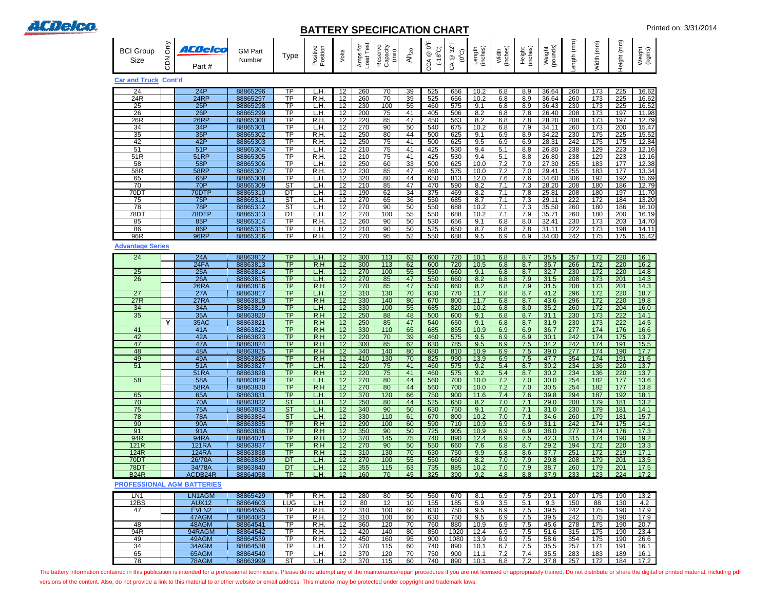

## **BATTERY SPECIFICATION CHART** Printed on: 3/31/2014

|                             |                   |                  |                          |                        |                      |                   | --                    |                              | VAI IVII                    |                                                 | vu m                                                                     |                    |                   |                    |                    |                  |                  |                  |                  |
|-----------------------------|-------------------|------------------|--------------------------|------------------------|----------------------|-------------------|-----------------------|------------------------------|-----------------------------|-------------------------------------------------|--------------------------------------------------------------------------|--------------------|-------------------|--------------------|--------------------|------------------|------------------|------------------|------------------|
| <b>BCI Group</b><br>Size    | ðmy<br><b>NCD</b> | ACDelco<br>Part# | <b>GM Part</b><br>Number | Type                   | Positive<br>Position | Volts             | Load Test<br>Amps for | Reserve<br>Capacity<br>(min) | $\mathsf{Ah}_{\mathsf{20}}$ | $0^{\circ}$ F<br>(3.86)<br>$^\copyright$<br>CCA | $32^{\circ}$ F<br>$\widetilde{C}_o(0)$<br>$^\copyright$<br>$\mathcal{L}$ | Length<br>(inches) | Width<br>(inches) | Height<br>(inches) | Weight<br>(pounds) | (mm) dtpre       | Width (mm)       | Height (mm)      | Weight<br>(kgms) |
| <b>Car and Truck Cont'd</b> |                   |                  |                          |                        |                      |                   |                       |                              |                             |                                                 |                                                                          |                    |                   |                    |                    |                  |                  |                  |                  |
| 24                          |                   | 24P              | 88865296                 | TP                     | L.H                  | 12                | 260                   | 70                           | 39                          | 525                                             | 656                                                                      | 10.2               | 6.8               | 8.9                | 36.64              | 260              | 173              | 225              | 16.62            |
| 24R                         |                   | 24RP             | 88865297                 | TP                     | R.H                  | 12                | 260                   | 70                           | 39                          | 525                                             | 656                                                                      | 10.2               | 6.8               | 8.9                | 36.64              | 260              | 173              | 225              | 16.62            |
| 25                          |                   | 25P              | 88865298                 | <b>TP</b>              | L.H                  | 12                | 230                   | 100                          | 55                          | 460                                             | 575                                                                      | 9.1                | 6.8               | 8.9                | 36.43              | 230              | 173              | 225              | 16.52            |
|                             |                   |                  |                          | $\overline{\text{TP}}$ |                      |                   |                       |                              |                             |                                                 |                                                                          |                    |                   |                    |                    |                  |                  |                  |                  |
| $\overline{26}$             |                   | 26P              | 88865299                 |                        | L.H.                 | 12                | 200                   | 75                           | 41                          | 405                                             | 506                                                                      | 8.2                | 6.8               | 7.8                | 26.40              | 208              | 173              | 197              | 11.98            |
| 26R                         |                   | 26RP             | 88865300                 | ΤP                     | R.H                  | 12                | 220                   | 85                           | 47                          | 450                                             | 563                                                                      | 8.2                | 6.8               | 7.8                | 28.20              | 208              | 173              | 197              | 12.79            |
| 34                          |                   | 34P              | 88865301                 | TP                     | L.H                  | 12                | 270                   | 90                           | 50                          | 540                                             | 675                                                                      | 10.2               | 6.8               | 7.9                | 34.11              | 260              | 173              | 200              | 15.47            |
| 35                          |                   | 35P              | 88865302                 | <b>TP</b>              | R.H                  | 12                | 250                   | 80                           | 44                          | 500                                             | 625                                                                      | 9.1                | 6.9               | 8.9                | 34.22              | 230              | 175              | 225              | 15.52            |
| 42                          |                   | 42P              | 88865303                 | <b>TP</b>              | R.H                  | 12                | 250                   | 75                           | 41                          | 500                                             | 625                                                                      | 9.5                | 6.9               | 6.9                | 28.31              | 242              | 175              | 175              | 12.84            |
| $\overline{51}$             |                   | 51P              | 88865304                 | <b>TP</b>              | L.H                  | 12                | 210                   | 75                           | 41                          | 425                                             | 530                                                                      | 9.4                | 5.1               | 8.8                | 26.80              | 238              | 129              | 223              | 12.16            |
| 51R                         |                   | 51RP             | 88865305                 | <b>TP</b>              | R.H                  | 12                | 210                   | 75                           | 41                          | 425                                             | 530                                                                      | 9.4                | 5.1               | 8.8                | 26.80              | 238              | 129              | 223              | 12.16            |
| 58                          |                   | 58P              | 88865306                 | <b>TP</b>              | L.H.                 | 12                | 250                   | 60                           | 33                          | 500                                             | 625                                                                      | 10.0               | 7.2               | 7.0                | 27.30              | 255              | 183              | 177              | 12.38            |
| 58R                         |                   | <b>58RP</b>      | 88865307                 | <b>TP</b>              | R.H                  | 12                | 230                   | 85                           | 47                          | 460                                             | 575                                                                      | 10.0               | 7.2               | 7.0                | 29.41              | 255              | 183              | 177              | 13.34            |
| 65                          |                   | 65P              | 88865308                 | $\overline{\text{TP}}$ | L.H.                 | 12                | 320                   | 80                           | 44                          | 650                                             | 813                                                                      | 12.0               | 7.6               | 7.6                | 34.60              | 306              | 192              | 192              | 15.69            |
| $\overline{70}$             |                   | 70P              | 88865309                 | $\overline{\text{ST}}$ | L.H.                 | 12                | 210                   | 85                           | 47                          | 470                                             | 590                                                                      | 8.2                | 7.1               | 7.3                | 28.20              | 208              | 180              | 186              | 12.79            |
| 70D <sub>1</sub>            |                   | 70DTP            | 88865310                 | $\overline{DT}$        | L.H                  | 12                | 190                   | 62                           | 34                          | 375                                             | 469                                                                      | 8.2                | 7.1               | 7.8                | 25.81              | 208              | 180              | 197              | 11.70            |
| 75                          |                   | 75P              | 88865311                 | $\overline{\text{ST}}$ | L.H.                 | 12                | 270                   | 65                           | 36                          | 550                                             | 685                                                                      | 8.7                | 7.1               | 7.3                | 29.11              | $\overline{222}$ | 172              | 184              | 13.20            |
| 78                          |                   | <b>78P</b>       | 88865312                 | ST                     | L.H.                 | 12                | 270                   | 90                           | 50                          | 550                                             | 688                                                                      | 10.2               | 7.1               | 7.3                | 35.50              | 260              | 180              | 186              | 16.10            |
| 78D <sub>1</sub>            |                   | 78DTP            | 88865313                 | DT                     | L.H.                 | 12                | 270                   | 100                          | 55                          | 550                                             | 688                                                                      | 10.2               | 7.1               | 7.9                | 35.71              | 260              | 180              | 200              | 16.19            |
| 85                          |                   | 85P              | 88865314                 | $\overline{TP}$        | R.H                  | 12                | 260                   | 90                           | 50                          | 530                                             | 656                                                                      | 9.1                | 6.8               | 8.0                | 32.41              | 230              | 173              | 203              | 14.70            |
| 86                          |                   | 86P              | 88865315                 | <b>TP</b>              | L.H                  | $\overline{12}$   | 210                   | 90                           | 50                          | 525                                             | 650                                                                      | 8.7                | 6.8               | 7.8                | 31.11              | 222              | 173              | 198              | 14.11            |
| 96R                         |                   | <b>96RP</b>      | 88865316                 | <b>TP</b>              | R.H                  | 12                | 270                   | $\overline{95}$              | 52                          | 550                                             | 688                                                                      | 9.5                | 6.9               | 6.9                | 34.00              | 242              | 175              | 175              | 15.42            |
|                             |                   |                  |                          |                        |                      |                   |                       |                              |                             |                                                 |                                                                          |                    |                   |                    |                    |                  |                  |                  |                  |
| <b>Advantage Series</b>     |                   |                  |                          |                        |                      |                   |                       |                              |                             |                                                 |                                                                          |                    |                   |                    |                    |                  |                  |                  |                  |
| 24                          |                   | 24A              | 88863812                 | TP                     | L.H                  | 12                | 300                   | 113                          | 62                          | 600                                             | 720                                                                      | 10.1               | 6.8               | 8.7                | 35.5               | 257              | 172              | 220              | 16.1             |
|                             |                   | 24FA             | 88863813                 | TP                     | R.H                  | 12                | 300                   | 113                          | 62                          | 600                                             | 720                                                                      | 10.5               | 6.8               | 8.7                | 35.7               | 266              | 172              | 220              | 16.2             |
| $\overline{25}$             |                   | 25A              | 88863814                 | <b>TP</b>              | L.H                  | 12                | 270                   | 100                          | 55                          | 550                                             | 660                                                                      | 9.1                | 6.8               | 8.7                | 32.7               | 230              | $\frac{1}{172}$  | 220              | 14.8             |
| 26                          |                   | 26A              | 88863815                 | <b>TP</b>              | L.H                  | 12                | 270                   | 85                           | 47                          | 550                                             | 660                                                                      | 8.2                | 6.8               | 7.9                | 31.5               | 208              | 173              | 201              | 14.3             |
|                             |                   | 26RA             | 88863816                 | <b>TP</b>              | R.H                  | 12                | 270                   | 85                           | 47                          | 550                                             | 660                                                                      | 8.2                | 6.8               | 7.9                | 31.5               | 208              | 173              | 201              | 14.3             |
| $\overline{27}$             |                   | 27A              | 88863817                 | $\overline{\text{TP}}$ | L.H                  | 12                | 310                   | 130                          | 70                          | 630                                             | 770                                                                      | 11.7               | 6.8               | 8.7                | 41.2               | 296              | 172              | 220              | 18.7             |
| 27R                         |                   | 27RA             | 88863818                 | TP                     | R.H                  | 12                | 330                   | 140                          | 80                          | 670                                             | 800                                                                      | 11.7               | 6.8               | 8.7                | 43.6               | 296              | 172              | 220              | 19.8             |
| 34                          |                   | 34A              | 88863819                 | <b>TP</b>              | L.H                  | $\overline{12}$   | 330                   | 100                          | 55                          | 685                                             | 820                                                                      | 10.2               | 6.8               | 8.0                | 35.2               | 260              | 172              | 204              | 16.0             |
| $\overline{35}$             |                   | 35A              | 88863820                 | <b>TP</b>              | R.H                  | 12                | 250                   | 88                           | 48                          | 500                                             | 600                                                                      | 9.1                | 6.8               | 8.7                | 31.1               | 230              | 173              | $\overline{222}$ | 14.1             |
|                             | Y                 | 35AC             | 88863821                 | TP                     | R.H                  | 12                | 250                   | 85                           | 47                          | 540                                             | 650                                                                      | 9.1                | 6.8               | 8.7                | 31.9               | 230              | 173              | 222              | 14.5             |
| 41                          |                   | 41A              | 88863822                 | <b>TP</b>              | R.H                  | $\overline{12}$   | 330                   | 110                          | 65                          | 685                                             | 855                                                                      | 10.9               | 6.9               | 6.9                | 36.7               | 277              | 174              | 176              | 16.6             |
| 42                          |                   | 42A              | 88863823                 | TP                     | R.H                  | 12                | 220                   | 70                           | 39                          | 460                                             | 575                                                                      | 9.5                | 6.9               | 6.9                | 30.1               | $\overline{242}$ | $\overline{174}$ | $\frac{175}{2}$  | 13.7             |
| 47                          |                   | 47A              | 88863824                 | TP                     | R.H                  | 12                | 300                   | 85                           | 62                          |                                                 | 785                                                                      | 9.5                | 6.9               |                    | 34.2               | 242              | 174              | 191              | 15.5             |
| 48                          |                   | 48A              | 88863825                 | <b>TP</b>              | $\overline{R.H}$     | 12                | 340                   | 140                          | 80                          | 630<br>680                                      | 810                                                                      | 10.9               | 6.9               | 7.5<br>7.5         | 39.0               | 277              | 174              | 190              | 17.7             |
| 49                          |                   |                  | 88863826                 | TP                     | R.H                  | 12 <sup>2</sup>   | 410                   | 130                          | 70                          | 825                                             | 990                                                                      | 13.9               | 6.9               | 7.5                | 47.7               | 354              | 174              | 191              | 21.6             |
| 51                          |                   | 49A<br>51A       |                          | <b>TP</b>              |                      | 12                |                       |                              |                             | 460                                             |                                                                          | 9.2                |                   | 8.7                |                    | 234              |                  |                  |                  |
|                             |                   |                  | 88863827                 |                        | L.H.                 |                   | 220                   | 75                           | 41                          |                                                 | 575                                                                      |                    | 5.4               |                    | 30.2               |                  | 136              | 220              | 13.7             |
|                             |                   | <b>51RA</b>      | 88863828                 | <b>TP</b>              | R.H                  | 12                | 220                   | 75                           | 41                          | 460                                             | 575                                                                      | 9.2                | 5.4               | 8.7                | 30.2               | 234              | 136              | 220              | 13.7             |
| 58                          |                   | 58A              | 88863829                 | <b>TP</b>              | L.H.                 | 12                | 270                   | 80                           | 44                          | 560                                             | 700                                                                      | 10.0               | 7.2               | 7.0                | 30.0               | 254              | 182              | 177              | 13.6             |
|                             |                   | <b>58RA</b>      | 88863830                 | TP                     | R.H                  | 12                | 270                   | 80                           | 44                          | 560                                             | 700                                                                      | 10.0               | 7.2               | 7.0                | 30.5               | 254              | 182              | 177              | 13.8             |
| 65                          |                   | 65A              | 88863831                 | <b>TP</b>              | L.H.                 | 12                | 370                   | 120                          | 66                          | 750                                             | 900                                                                      | 11.6               | 7.4               | 7.6                | 39.8               | 294              | 187              | 192              | 18.1             |
| 70                          |                   | 70A              | 88863832                 | $\overline{\text{ST}}$ | L.H.                 | 12                | 250                   | 80                           | 44                          | 525                                             | 650                                                                      | 8.2                | 7.0               | 7.1                | 29.0               | 208              | 179              | 181              | 13.2             |
| 75                          |                   | <b>75A</b>       | 88863833                 | <b>ST</b>              | L.H.                 | 12                | 340                   | 90                           | 50                          | 630                                             | 750                                                                      | 9.1                | 7.0               | 7.1                | 31.0               | 230              | 179              | 181              | 14.1             |
| 78                          |                   | <b>78A</b>       | 88863834                 | ST                     | L.H.                 | $12 \overline{ }$ | 330                   | 110                          | 61                          | 670                                             | 800                                                                      | 10.2               | 7.0               | 7.1                | 34.6               | 260              | 179              | 181              | 15.7             |
| 90                          |                   | 90A              | 88863835                 | <b>TP</b>              | R.H                  | 12                | 290                   | 100                          | 60                          | 590                                             | 710                                                                      | 10.9               | 6.9               | 6.9                | 31.1               | 242              | 174              | 175              | 14.1             |
| 91                          |                   | 91A              | 88863836                 | TP                     | R.H                  | 12                | 350                   | 90                           | 50                          | 725                                             | 905                                                                      | 10.9               | 6.9               | 6.9                | 38.0               | 277              | 174              | 176              | 17.3             |
| 94R                         |                   | <b>94RA</b>      | 88864071                 | TP                     | R.H                  | 12                | 370                   | 145                          | 75                          | 740                                             | 890                                                                      | 12.4               | 6.9               | 7.5                | 42.3               | 315              | 174              | 190              | 19.2             |
| 121R                        |                   | <b>121RA</b>     | 88863837                 | <b>TP</b>              | R.H                  | 12                | 270                   | 90                           | 50                          | 550                                             | 660                                                                      | 7.6                | 6.8               | 8.7                | 29.2               | 194              | 172              | 220              | 13.3             |
| <b>124R</b>                 |                   | <b>124RA</b>     | 88863838                 | <b>TP</b>              | R.H                  | 12                | 310                   | 130                          | 70                          | 630                                             | 750                                                                      | 9.9                | 6.8               | 8.6                | 37.7               | 251              | 172              | 219              | 17.1             |
| <b>70DT</b>                 |                   | 26/70A           | 88863839                 | <b>DT</b>              | L.H.                 | 12                | 270                   | 100                          | 55                          | 550                                             | 660                                                                      | 8.2                | 7.0               | 7.9                | 29.8               | 208              | 179              | 201              | 13.5             |
| <b>78DT</b>                 |                   | 34/78A           | 88863840                 | DT                     | L.H.                 | 12                | 355                   | 115                          | 63                          | 735                                             | 885                                                                      | 10.2               | 7.0               | 7.9                | 38.7               | 260              | 179              | 201              | 17.5             |
| <b>B24R</b>                 |                   | ACDB24R          | 88864058                 | <b>TP</b>              | L.H.                 | 12                | 160                   | 70                           | 45                          | 325                                             | 390                                                                      | 9.2                | 4.8               | 8.8                | 37.9               | 233              | 123              | 224              | 17.2             |
| <b>DRAFFOOIALLAL</b>        |                   | <b>DATTEDIES</b> |                          |                        |                      |                   |                       |                              |                             |                                                 |                                                                          |                    |                   |                    |                    |                  |                  |                  |                  |

**PROFESSIONAL AGM BATTERIES**

| LN'  | LN1AGM            | 88865429 |     | R.H  | 280 | 80  | 50 | 560 | 670        | 8.        | 6.9                            | $\ddot{\phantom{a}}$ | 29.  | 207 | 75              | 190 | 13.2 |
|------|-------------------|----------|-----|------|-----|-----|----|-----|------------|-----------|--------------------------------|----------------------|------|-----|-----------------|-----|------|
| 12BS | AUX12             | 88864603 | ∟UG | Н    | 80  | 1つ  | 10 | 155 | 185        | 5.9       | ⌒<br>3.5                       |                      | 9.3  | 150 | 88              | 130 | 4.2  |
| 47   | EVLN <sub>2</sub> | 88864595 | тn  | R.H  | 310 | 100 | 60 | 630 | 75C        | 9.5       | 6.9                            | ں.                   |      | 242 | 75              | 190 | 17.9 |
|      | 47AGM             | 88864083 | тp  | R.H  | 310 | 100 | 60 | 630 | 750        | QF<br>J.J | 6.9                            | ں.                   | 39.  | 242 | 75              | 190 | 17.9 |
| 48   | 48AGM             | 88864541 | тo  | R.H  | 360 | 120 | 70 | 760 | 88C        | 10.9      | 6.9                            | ں.                   | 45.6 | 278 | 75              | 190 | 20.7 |
| 94R  | 94RAGM            | 88864542 |     | R.H  | 120 | 140 | 80 | 850 | 1020       | $-2.4$    | 6.9                            | ں.                   | - 51 |     | 75              | 190 | 23.4 |
| 49   | 49AGM             | 88864539 |     | R.H. | 45C | 160 | 95 | 900 | 1080       | 13.9      | 6.9                            | ں.                   | 58.6 | 354 | 75              | 190 | 26.6 |
| 34   | 34AGM             | 88864538 | тn  | Н    | 37C | 15  | 60 | 740 | 890        |           |                                | ں.                   | 355  | 257 | 74              | 191 | 16.1 |
| 65   | 65AGM             | 88864540 |     | --   | 370 | 120 | 70 | 750 | 90C        |           | ່າ<br>$\overline{\phantom{a}}$ |                      | 355  | 283 | 183             | 189 | 16.1 |
| 70   | 78AGM             | 88863999 | ∼⊤  |      | 270 | 1 E | 60 | 740 | <b>ROC</b> |           | : R                            |                      | 27   | 257 | $\overline{70}$ | 184 | 170  |

The battery information contained in this publication is intended for a professional technicians. Please do no attempt any of the maintenance/repair procedures if you are not licensed or appropriately trained. Do not distr versions of the content. Also, do not provide a link to this material to another website or email address. This material may be protected under copyright and trademark laws.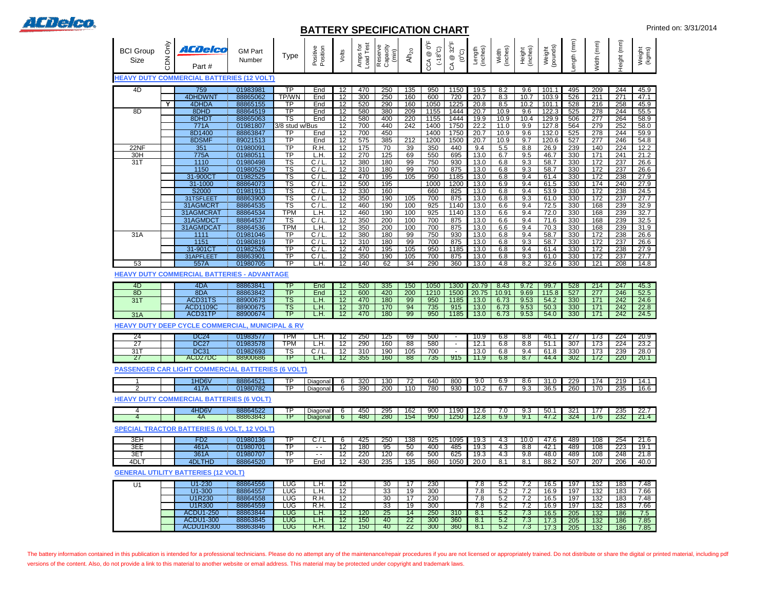

## **BATTERY SPECIFICATION CHART EXECUTE:** Printed on: 3/31/2014

| <b>BCI Group</b><br><b>Size</b><br><b>HEAVY DUTY</b> | <b>Only</b><br><b>NOC</b> | ACDelco<br>Part #<br><b>COMMERCIAL BATTERIES (12 VOLT)</b> | <b>GM Part</b><br>Number | Type                                             | - - -<br>Position<br>Positive | Volts           | Amps for<br>Load Test | Reserve<br>Capacity<br>(min) | Ah <sub>20</sub> | €°<br>(386)<br>$^{\circledR}$<br>CCA | $32^{\circ}$ F<br>$(0^{\circ}C)$<br>CA @ | (inches)<br>Length | Width<br>(inches) | Height<br>(inches) | (pounds)<br>Weight | ength (mm)  | (mm)<br>Width    | Height (mm) | Weight<br>(kgms) |
|------------------------------------------------------|---------------------------|------------------------------------------------------------|--------------------------|--------------------------------------------------|-------------------------------|-----------------|-----------------------|------------------------------|------------------|--------------------------------------|------------------------------------------|--------------------|-------------------|--------------------|--------------------|-------------|------------------|-------------|------------------|
|                                                      |                           |                                                            |                          |                                                  |                               |                 |                       |                              |                  |                                      |                                          |                    |                   |                    |                    |             |                  |             |                  |
| 4D                                                   |                           | 759<br>4DHDWNT                                             | 01983981<br>88865062     | ТP<br>TP/WN                                      | End<br>End                    | 12<br>12        | 470<br>300            | 250<br>250                   | 135<br>160       | 950<br>600                           | 1150<br>720                              | 19.5<br>20.7       | 8.2<br>8.3        | 9.6<br>10.7        | 101.1<br>103.9     | 495<br>526  | 209<br>211       | 244<br>271  | 45.9<br>47.1     |
|                                                      | Y                         | 4DHDA                                                      | 88865155                 | <b>TP</b>                                        | End                           | 12              | 520                   | 290                          | 160              | 1050                                 | 1225                                     | 20.8               | 8.5               | 10.2               | 101.1              | 528         | 216              | 258         | 45.9             |
| 8D                                                   |                           | 8DHD                                                       | 88864519                 | $\overline{TP}$                                  | End                           | 12              | 580                   | 380                          | 209              | 1155                                 | 1444                                     | 20.7               | 10.9              | 9.6                | 122.3              | 525         | 278              | 244         | 55.5             |
|                                                      |                           | 8DHDT                                                      | 88865063                 | $\overline{\text{TS}}$                           | End                           | 12              | 580                   | 400                          | 220              | 1155                                 | 1444                                     | 19.9               | 10.9              | 10.4               | 129.9              | 506         | $\overline{277}$ | 264         | 58.9             |
|                                                      |                           | 771A                                                       | 01981807                 | 3/8 stud w/Bus                                   |                               | 12              | 700                   | 440                          | 242              | 1400                                 | 1750                                     | 22.2               | 11.0              | 9.9                | 127.8              | 564         | 279              | 252         | 58.0             |
|                                                      |                           | 8D1400                                                     | 88863847                 | $\overline{\text{TP}}$                           | End                           | 12              | 700                   | 450                          |                  | 1400                                 | 1750                                     | 20.7               | 10.9              | 9.6                | 132.0              | 525         | 278              | 244         | 59.9             |
|                                                      |                           | 8DSMF                                                      | 89021513                 | $\overline{TP}$                                  | End                           | 12              | 575                   | 385                          | 212              | 1200                                 | 1500                                     | 20.7               | 10.9              | 9.7                | 120.6              | 527         | 277              | 246         | 54.8             |
| 22NF                                                 |                           | 351                                                        | 01980091                 | TP                                               | R.H                           | 12              | 175                   | 70                           | 39               | 350                                  | 440                                      | 9.4                | 5.5               | 8.8                | 26.9               | 239         | 140              | 224         | 12.2             |
| 30H                                                  |                           | 775A                                                       | 01980511                 | $\overline{\text{TP}}$                           | L.H.                          | 12              | 270                   | 125                          | 69               | 550                                  | 695                                      | 13.0               | 6.7               | 9.5                | 46.7               | 330         | 171              | 241         | 21.2             |
| 31T                                                  |                           | 1110                                                       | 01980498                 | $\overline{\textsf{TS}}$                         | C/L                           | 12              | 380                   | 180                          | 99               | 750                                  | 930                                      | 13.0               | 6.8               | 9.3                | 58.7               | 330         | 172              | 237         | 26.6             |
|                                                      |                           | 1150<br>31-900C                                            | 01980529<br>01982525     | $\overline{\text{TS}}$<br>$\overline{\text{TS}}$ | C/I<br>C/L                    | 12<br>12        | 310<br>470            | 180<br>195                   | 99<br>105        | 700<br>950                           | 875<br>1185                              | 13.0<br>13.0       | 6.8<br>6.8        | 9.3<br>9.4         | 58.7<br>61.4       | 330<br>330  | 172<br>172       | 237<br>238  | 26.6<br>27.9     |
|                                                      |                           | 31-1000                                                    | 88864073                 | <b>TS</b>                                        | C/I                           | 12              | 500                   | 195                          |                  | 1000                                 | 1200                                     | 13.0               | 6.9               | 9.4                | 61.5               | 330         | 174              | 240         | 27.9             |
|                                                      |                           | S2000                                                      | 01981913                 | $\overline{\text{TS}}$                           | C/I                           | 12              | 330                   | 160                          |                  | 660                                  | 825                                      | 13.0               | 6.8               | 9.4                | 53.9               | 330         | 172              | 238         | 24.5             |
|                                                      |                           | 31TSFLEET                                                  | 88863900                 | $\overline{\text{TS}}$                           | C/I                           | 12              | 350                   | 190                          | $\frac{105}{2}$  | 700                                  | 875                                      | 13.0               | 6.8               | 9.3                | 61.0               | 330         | 172              | 237         | 27.7             |
|                                                      |                           | 31AGMCRT                                                   | 88864535                 | $\overline{\text{TS}}$                           | C/L                           | 12              | 460                   | 190                          | 100              | 925                                  | 1140                                     | 13.0               | 6.6               | 9.4                | 72.5               | 330         | 168              | 239         | 32.9             |
|                                                      |                           | 31AGMCRAT                                                  | 88864534                 | <b>TPM</b>                                       | L.H.                          | 12              | 460                   | 190                          | 100              | 925                                  | 1140                                     | 13.0               | 6.6               | 9.4                | 72.0               | 330         | 168              | 239         | 32.7             |
|                                                      |                           | 31AGMDCT                                                   | 88864537                 | $\overline{\text{TS}}$                           | C/I                           | 12              | 350                   | 200                          | 100              | 700                                  | 875                                      | 13.0               | 6.6               | 9.4                | 71.6               | 330         | 168              | 239         | 32.5             |
|                                                      |                           | 31AGMDCAT                                                  | 88864536                 | <b>TPM</b>                                       | L.H.                          | 12              | 350                   | 200                          | 100              | 700                                  | 875                                      | 13.0               | 6.6               | 9.4                | 70.3               | 330         | 168              | 239         | 31.9             |
| 31A                                                  |                           | 1111                                                       | 01981046                 | <b>TP</b>                                        | C/L                           | 12              | 380                   | 180                          | 99               | 750                                  | 930                                      | 13.0               | 6.8               | 9.4                | 58.7               | 330         | 172              | 238         | 26.6             |
|                                                      |                           | 115'                                                       | 01980819                 | $\overline{TP}$                                  | C/L                           | 12              | 310                   | 180                          | 99               | 700                                  | 875                                      | 13.0               | 6.8               | 9.3                | 58.7               | 330         | 172              | 237         | 26.6             |
|                                                      |                           | 31-901CT                                                   | 01982526                 | $\overline{TP}$                                  | C/I                           | 12              | 470                   | 195                          | 105              | 950                                  | 1185                                     | 13.0               | 6.8               | 9.4                | 61.4               | 330         | 172              | 238         | 27.9             |
|                                                      |                           | 31APFLEET                                                  | 88863901                 | ТP                                               | C/I                           | 12              | 350                   | 190                          | 105              | 700                                  | 875                                      | 13.0               | 6.8               | 9.3                | 61.0               | 330         | 172              | 237         | 27.7             |
| 53                                                   |                           | 557A                                                       | 01980705                 | $\overline{TP}$                                  | L.H.                          | 12              | 140                   | 62                           | 34               | 290                                  | 360                                      | 13.0               | 4.8               | 8.2                | 32.6               | 330         | 121              | 208         | 14.8             |
|                                                      |                           | <b>HEAVY DUTY COMMERCIAL BATTERIES - ADVANTAGE</b>         |                          |                                                  |                               |                 |                       |                              |                  |                                      |                                          |                    |                   |                    |                    |             |                  |             |                  |
| -4D                                                  |                           | 4DA                                                        | 88863841                 | TP                                               | End                           | 12              | 520                   | 335                          | 150              | 1050                                 | 1300                                     | 20.79              | 8.43              | 9.72               | 99.7               | 528         | 214              | 247         | 45.3             |
| 8D                                                   |                           | 8DA                                                        | 88863842                 | TP                                               | End                           | 12              | 600                   | 420                          | 200              | 1210                                 | 1500                                     | 20.75              | 10.91             | 9.69               | 115.8              | 527         | 277              | 246         | 52.5             |
| 31T                                                  |                           | ACD31TS                                                    | 88900673                 | TS                                               | L.H.                          | 12              | 470                   | 180                          | 99               | 950                                  | 1185                                     | 13.0               | 6.73              | 9.53               | 54.2               | 330         | 171              | 242         | 24.6             |
|                                                      |                           | ACD1109C                                                   | 88900675                 | $\overline{\text{TS}}$                           | L.H.                          | 12              | 370                   | 170                          | 94               | 735                                  | 915                                      | 13.0               | 6.73              | 9.53               | 50.3               | 330         | 171              | 242         | 22.8             |
| 31A                                                  |                           | ACD31TP                                                    | 88900674                 | TP                                               | L.H.                          | 12              | 470                   | 180                          | 99               | 950                                  | 1185                                     | 13.0               | 6.73              | 9.53               | 54.0               | 330         | 171              | 242         | 24.5             |
|                                                      |                           | HEAVY DUTY DEEP CYCLE COMMERCIAL, MUNICIPAL & RV           |                          |                                                  |                               |                 |                       |                              |                  |                                      |                                          |                    |                   |                    |                    |             |                  |             |                  |
| 24                                                   |                           | DC24                                                       | 01983577                 | TPM                                              | LН.                           | 12              | 250                   | 125                          | 69               | 500                                  | $\blacksquare$                           | 10.9               | 6.8               | 8.8                | 46.1               | 277         | 173              | 224         | 20.9             |
| $\overline{27}$                                      |                           | <b>DC27</b>                                                | 01983578                 | TPM                                              | L.H.                          | 12              | 290                   | 160                          | 88               | 580                                  | $\sim$                                   | 12.1               | 6.8               | 8.8                | 51.1               | 307         | 173              | 224         | 23.2             |
| 31T                                                  |                           | <b>DC31</b>                                                | 01982693                 | TS                                               | C/L                           | $\overline{12}$ | 310                   | 190                          | 105              | 700                                  | $\sim$                                   | 13.0               | 6.8               | 9.4                | 61.8               | 330         | 173              | 239         | 28.0             |
| 27                                                   |                           | ACD27DC                                                    | 88900686                 | TP                                               | L.H.                          | 12 <sup>°</sup> | 355                   | 160                          | 88               | 735                                  | 915                                      | 11.9               | 6.8               | 8.7                | 44.4               | 302         | 172              | 220         | 20.1             |
|                                                      |                           | <b>PASSENGER CAR LIGHT COMMERCIAL BATTERIES (6 VOLT)</b>   |                          |                                                  |                               |                 |                       |                              |                  |                                      |                                          |                    |                   |                    |                    |             |                  |             |                  |
|                                                      |                           | 1HD6V                                                      | 88864521                 | TP                                               | Diagonal                      | 6               | 320                   | 130                          | 72               | 640                                  | 800                                      | 9.0                | 6.9               | 8.6                | 31.0               | 229         | 174              | 219         | 14.1             |
| 2                                                    |                           | 417A                                                       | 01980782                 | <b>TP</b>                                        | Diagonal                      | 6               | 390                   | 200                          | 110              | 780                                  | 930                                      | 10.2               | 6.7               | 9.3                | 36.5               | 260         | 170              | 235         | 16.6             |
|                                                      |                           | <b>HEAVY DUTY COMMERCIAL BATTERIES (6 VOLT)</b>            |                          |                                                  |                               |                 |                       |                              |                  |                                      |                                          |                    |                   |                    |                    |             |                  |             |                  |
|                                                      |                           |                                                            |                          |                                                  |                               |                 |                       |                              |                  |                                      |                                          |                    |                   |                    |                    |             |                  |             |                  |
| 4<br>4                                               |                           | 4HD6V<br>4A                                                | 88864522<br>88863843     | TP<br>TP                                         | Diagonal<br><b>Diagonal</b>   | 6<br>6          | 450<br>480            | 295<br>280                   | 162<br>154       | 900<br>950                           | 1190<br>1250                             | 12.6<br>12.8       | 7.0<br>6.9        | 9.3<br>9.1         | 50.1<br>47.2       | 321<br>-324 | 177<br>176       | 235<br>232  | 22.7<br>21.4     |
|                                                      |                           |                                                            |                          |                                                  |                               |                 |                       |                              |                  |                                      |                                          |                    |                   |                    |                    |             |                  |             |                  |
|                                                      |                           | <b>SPECIAL TRACTOR BATTERIES (6 VOLT, 12 VOLT)</b>         |                          |                                                  |                               |                 |                       |                              |                  |                                      |                                          |                    |                   |                    |                    |             |                  |             |                  |
| 3EH                                                  |                           | FD <sub>2</sub>                                            | 01980136                 | TP                                               | C/L                           | -6              | 425                   | 250                          | 138              | 925                                  | 1095                                     | 19.3               | 4.3               | 10.0               | 47.6               | 489         | 108              | 254         | 21.6             |
| 3EE                                                  |                           | 461A                                                       | 01980701                 | TP                                               | $ -$                          | 12              | 180                   | 95                           | 50               | 400                                  | 485                                      | 19.3               | 4.3               | 8.8                | 42.1               | 489         | 108              | 223         | 19.1             |
| 3ET                                                  |                           | 361A                                                       | 01980707                 | TP                                               | $\sim$ $\sim$                 | 12              | 220                   | 120                          | 66               | 500                                  | 625                                      | 19.3               | 4.3               | 9.8                | 48.0               | 489         | 108              | 248         | 21.8             |
| 4DLT                                                 |                           | 4DLTHD                                                     | 88864520                 | <b>TP</b>                                        | End                           | 12              | 430                   | 235                          | $\overline{135}$ | 860                                  | 1050                                     | 20.0               | 8.1               | 8.1                | 88.2               | 507         | 207              | 206         | 40.0             |
|                                                      |                           | <b>GENERAL UTILITY BATTERIES (12 VOLT)</b>                 |                          |                                                  |                               |                 |                       |                              |                  |                                      |                                          |                    |                   |                    |                    |             |                  |             |                  |
| U1                                                   |                           | $U1 - 230$                                                 | 88864556                 | <b>LUG</b>                                       | L.H.                          | 12              |                       | 30                           | 17               | 230                                  |                                          | 7.8                | 5.2               | 7.2                | 16.5               | 197         | 132              | 183         | 7.48             |
|                                                      |                           | U1-300                                                     | 88864557                 | <b>LUG</b>                                       | L.H.                          | 12              |                       | 33                           | 19               | 300                                  |                                          | 7.8                | 5.2               | 7.2                | 16.9               | 197         | 132              | 183         | 7.66             |
|                                                      |                           | U1R230                                                     | 88864558                 | <b>LUG</b>                                       | R.H.                          | 12              |                       | 30                           | 17               | 230                                  |                                          | 7.8                | 5.2               | 7.2                | 16.5               | 197         | 132              | 183         | 7.48             |
|                                                      |                           | <b>U1R300</b>                                              | 88864559                 | <b>LUG</b>                                       | R.H.                          | 12              |                       | 33                           | 19               | 300                                  |                                          | 7.8                | 5.2               | 7.2                | 16.9               | 197         | 132              | 183         | 7.66             |
|                                                      |                           | <b>ACDU1-250</b>                                           | 88863844                 | <b>LUG</b>                                       | L.H.                          | 12              | 120                   | 25                           | 14               | 250                                  | 310                                      | 8.1                | 5.2               | 7.3                | 16.5               | 205         | 132              | 186         | 7.5              |

The battery information contained in this publication is intended for a professional technicians. Please do no attempt any of the maintenance/repair procedures if you are not licensed or appropriately trained. Do not distr versions of the content. Also, do not provide a link to this material to another website or email address. This material may be protected under copyright and trademark laws.

ACDU1-300 88863845 LUG L.H. 12 150 40 22 300 360 8.1 5.2 7.3 17.3 205 132 186 7.85 ACDU1R300 88863846 LUG R.H. 12 150 40 22 300 360 8.1 5.2 7.3 17.3 205 132 186 7.85